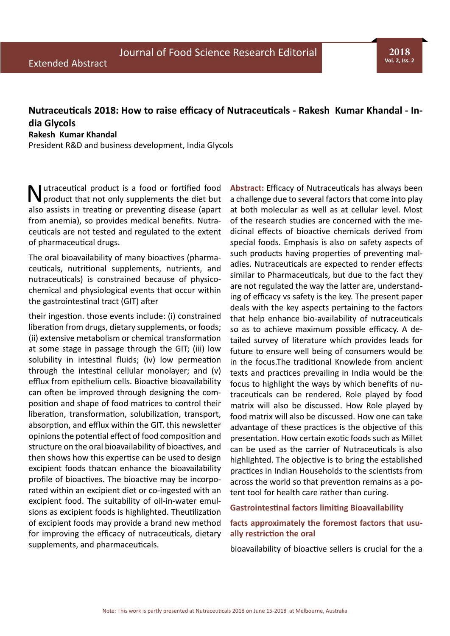# **Nutraceuticals 2018: How to raise efficacy of Nutraceuticals - Rakesh Kumar Khandal - India Glycols**

### **Rakesh Kumar Khandal**

President R&D and business development, India Glycols

utraceutical product is a food or fortified food product that not only supplements the diet but also assists in treating or preventing disease (apart from anemia), so provides medical benefits. Nutraceuticals are not tested and regulated to the extent of pharmaceutical drugs.

The oral bioavailability of many bioactives (pharmaceuticals, nutritional supplements, nutrients, and nutraceuticals) is constrained because of physicochemical and physiological events that occur within the gastrointestinal tract (GIT) after

their ingestion. those events include: (i) constrained liberation from drugs, dietary supplements, or foods; (ii) extensive metabolism or chemical transformation at some stage in passage through the GIT; (iii) low solubility in intestinal fluids; (iv) low permeation through the intestinal cellular monolayer; and (v) efflux from epithelium cells. Bioactive bioavailability can often be improved through designing the composition and shape of food matrices to control their liberation, transformation, solubilization, transport, absorption, and efflux within the GIT. this newsletter opinions the potential effect of food composition and structure on the oral bioavailability of bioactives, and then shows how this expertise can be used to design excipient foods thatcan enhance the bioavailability profile of bioactives. The bioactive may be incorporated within an excipient diet or co-ingested with an excipient food. The suitability of oil-in-water emulsions as excipient foods is highlighted. Theutilization of excipient foods may provide a brand new method for improving the efficacy of nutraceuticals, dietary supplements, and pharmaceuticals.

**Abstract:** Efficacy of Nutraceuticals has always been a challenge due to several factors that come into play at both molecular as well as at cellular level. Most of the research studies are concerned with the medicinal effects of bioactive chemicals derived from special foods. Emphasis is also on safety aspects of such products having properties of preventing maladies. Nutraceuticals are expected to render effects similar to Pharmaceuticals, but due to the fact they are not regulated the way the latter are, understanding of efficacy vs safety is the key. The present paper deals with the key aspects pertaining to the factors that help enhance bio-availability of nutraceuticals so as to achieve maximum possible efficacy. A detailed survey of literature which provides leads for future to ensure well being of consumers would be in the focus.The traditional Knowlede from ancient texts and practices prevailing in India would be the focus to highlight the ways by which benefits of nutraceuticals can be rendered. Role played by food matrix will also be discussed. How Role played by food matrix will also be discussed. How one can take advantage of these practices is the objective of this presentation. How certain exotic foods such as Millet can be used as the carrier of Nutraceuticals is also highlighted. The objective is to bring the established practices in Indian Households to the scientists from across the world so that prevention remains as a potent tool for health care rather than curing.

#### **Gastrointestinal factors limiting Bioavailability**

# **facts approximately the foremost factors that usually restriction the oral**

bioavailability of bioactive sellers is crucial for the a